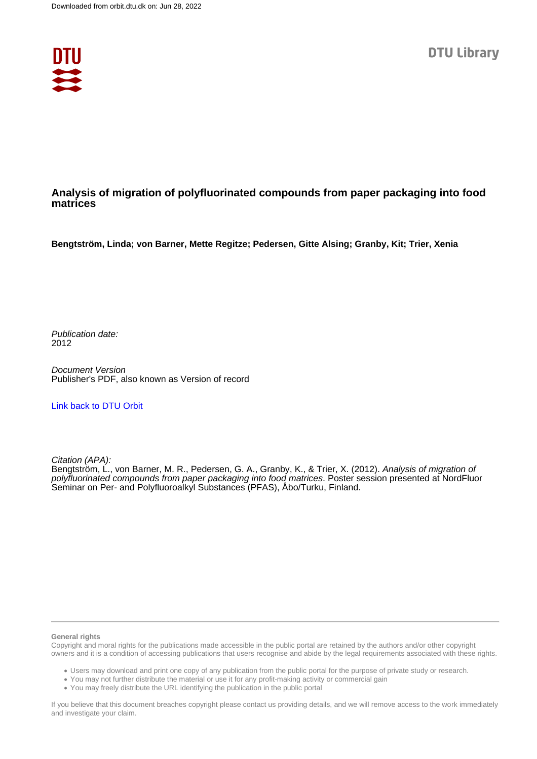

### **Analysis of migration of polyfluorinated compounds from paper packaging into food matrices**

**Bengtström, Linda; von Barner, Mette Regitze; Pedersen, Gitte Alsing; Granby, Kit; Trier, Xenia**

Publication date: 2012

Document Version Publisher's PDF, also known as Version of record

### [Link back to DTU Orbit](https://orbit.dtu.dk/en/publications/70187a19-7ec5-47ac-8d14-48fae1145000)

Citation (APA):

Bengtström, L., von Barner, M. R., Pedersen, G. A., Granby, K., & Trier, X. (2012). Analysis of migration of polyfluorinated compounds from paper packaging into food matrices. Poster session presented at NordFluor Seminar on Per- and Polyfluoroalkyl Substances (PFAS), Åbo/Turku, Finland.

#### **General rights**

Copyright and moral rights for the publications made accessible in the public portal are retained by the authors and/or other copyright owners and it is a condition of accessing publications that users recognise and abide by the legal requirements associated with these rights.

Users may download and print one copy of any publication from the public portal for the purpose of private study or research.

- You may not further distribute the material or use it for any profit-making activity or commercial gain
- You may freely distribute the URL identifying the publication in the public portal

If you believe that this document breaches copyright please contact us providing details, and we will remove access to the work immediately and investigate your claim.